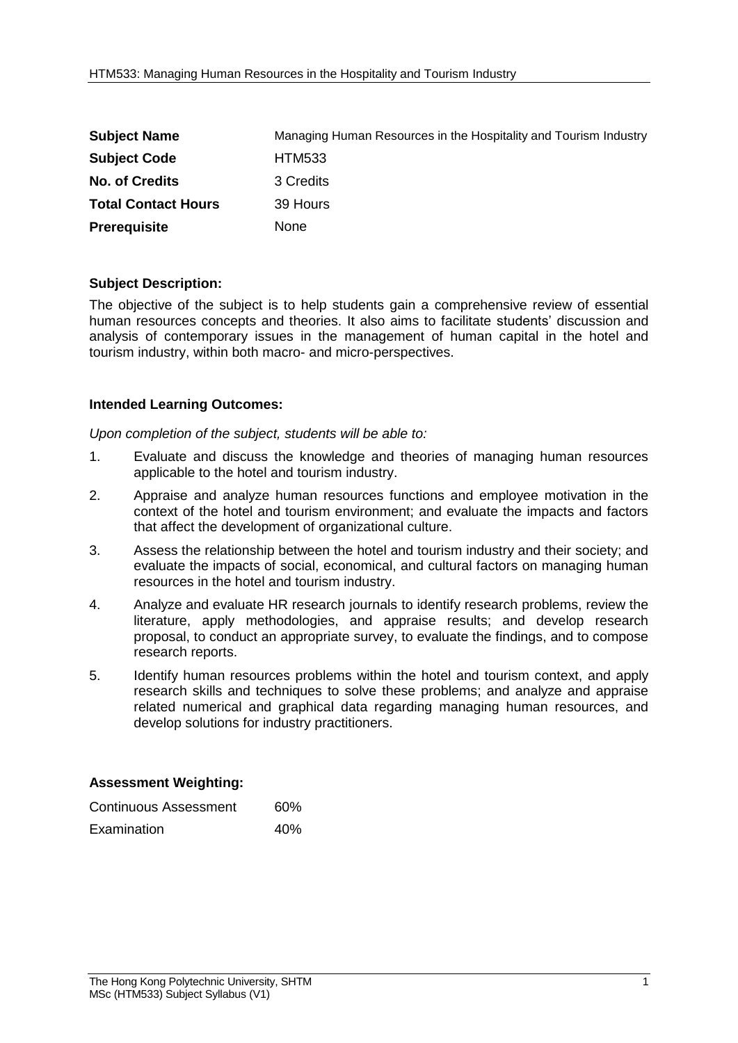| <b>Subject Name</b>        | Managing Human Resources in the Hospitality and Tourism Industry |
|----------------------------|------------------------------------------------------------------|
| <b>Subject Code</b>        | <b>HTM533</b>                                                    |
| <b>No. of Credits</b>      | 3 Credits                                                        |
| <b>Total Contact Hours</b> | 39 Hours                                                         |
| <b>Prerequisite</b>        | <b>None</b>                                                      |

## **Subject Description:**

The objective of the subject is to help students gain a comprehensive review of essential human resources concepts and theories. It also aims to facilitate students' discussion and analysis of contemporary issues in the management of human capital in the hotel and tourism industry, within both macro- and micro-perspectives.

## **Intended Learning Outcomes:**

*Upon completion of the subject, students will be able to:*

- 1. Evaluate and discuss the knowledge and theories of managing human resources applicable to the hotel and tourism industry.
- 2. Appraise and analyze human resources functions and employee motivation in the context of the hotel and tourism environment; and evaluate the impacts and factors that affect the development of organizational culture.
- 3. Assess the relationship between the hotel and tourism industry and their society; and evaluate the impacts of social, economical, and cultural factors on managing human resources in the hotel and tourism industry.
- 4. Analyze and evaluate HR research journals to identify research problems, review the literature, apply methodologies, and appraise results; and develop research proposal, to conduct an appropriate survey, to evaluate the findings, and to compose research reports.
- 5. Identify human resources problems within the hotel and tourism context, and apply research skills and techniques to solve these problems; and analyze and appraise related numerical and graphical data regarding managing human resources, and develop solutions for industry practitioners.

## **Assessment Weighting:**

| Continuous Assessment | 60% |
|-----------------------|-----|
| Examination           | 40% |